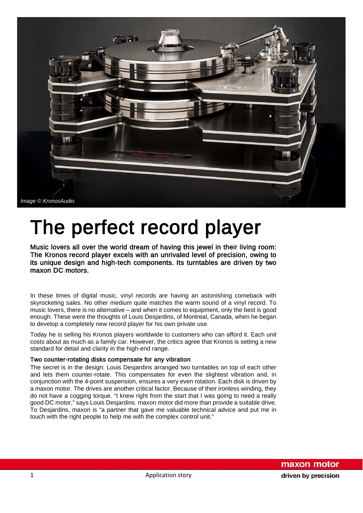

# The perfect record player  $\overline{\phantom{a}}$  Music lovers all over the world dream of having this jewel in their living room:

The Kronos record player excels with an unrivaled level of precision, owing to its unique design and high-tech components. Its turntables are driven by two maxon DC motors.

In these times of digital music, vinyl records are having an astonishing comeback with skyrocketing sales. No other medium quite matches the warm sound of a vinyl record. To music lovers, there is no alternative – and when it comes to equipment, only the best is good enough. These were the thoughts of Louis Desjardins, of Montreal, Canada, when he began to develop a completely new record player for his own private use.

Today he is selling his Kronos players worldwide to customers who can afford it. Each unit costs about as much as a family car. However, the critics agree that Kronos is setting a new standard for detail and clarity in the high-end range.

## Two counter-rotating disks compensate for any vibration

The secret is in the design: Louis Desjardins arranged two turntables on top of each other and lets them counter-rotate. This compensates for even the slightest vibration and, in conjunction with the 4-point suspension, ensures a very even rotation. Each disk is driven by a maxon motor. The drives are another critical factor. Because of their ironless winding, they do not have a cogging torque. "I knew right from the start that I was going to need a really good DC motor," says Louis Desjardins. maxon motor did more than provide a suitable drive. To Desjardins, maxon is "a partner that gave me valuable technical advice and put me in touch with the right people to help me with the complex control unit."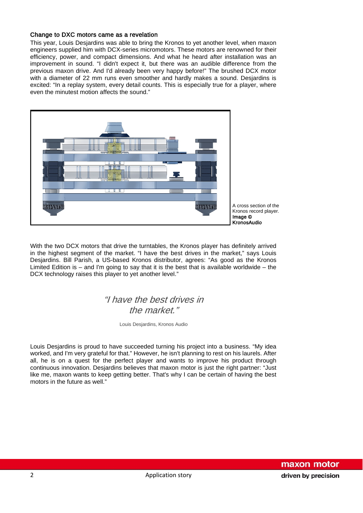## Change to DXC motors came as a revelation

This year, Louis Desjardins was able to bring the Kronos to yet another level, when maxon engineers supplied him with DCX-series micromotors. These motors are renowned for their efficiency, power, and compact dimensions. And what he heard after installation was an improvement in sound. "I didn't expect it, but there was an audible difference from the previous maxon drive. And I'd already been very happy before!" The brushed DCX motor with a diameter of 22 mm runs even smoother and hardly makes a sound. Desjardins is excited: "In a replay system, every detail counts. This is especially true for a player, where even the minutest motion affects the sound."



With the two DCX motors that drive the turntables, the Kronos player has definitely arrived in the highest segment of the market. "I have the best drives in the market," says Louis Desjardins. Bill Parish, a US-based Kronos distributor, agrees: "As good as the Kronos Limited Edition is  $-$  and I'm going to say that it is the best that is available worldwide  $-$  the DCX technology raises this player to yet another level."

## "I have the best drives in the market."

Louis Desjardins, Kronos Audio

Louis Desjardins is proud to have succeeded turning his project into a business. "My idea worked, and I'm very grateful for that." However, he isn't planning to rest on his laurels. After all, he is on a quest for the perfect player and wants to improve his product through continuous innovation. Desjardins believes that maxon motor is just the right partner: "Just like me, maxon wants to keep getting better. That's why I can be certain of having the best motors in the future as well."